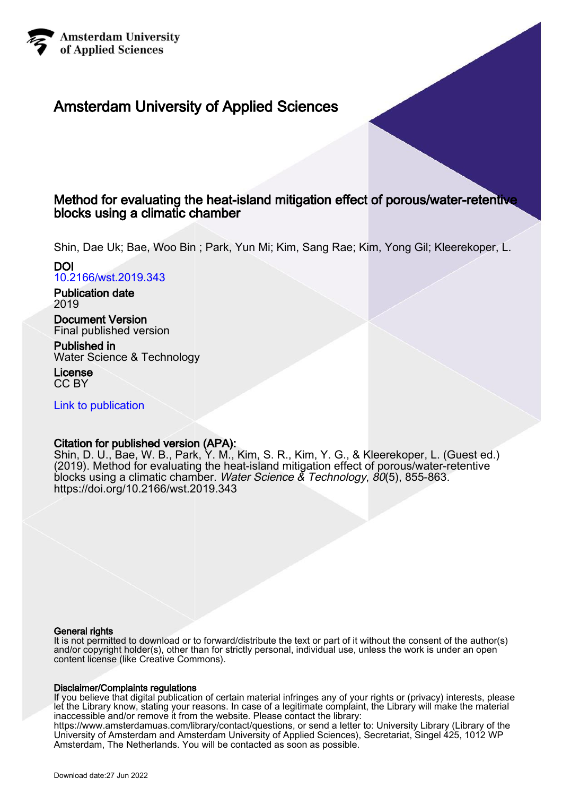

# Amsterdam University of Applied Sciences

## Method for evaluating the heat-island mitigation effect of porous/water-retentive blocks using a climatic chamber

Shin, Dae Uk; Bae, Woo Bin ; Park, Yun Mi; Kim, Sang Rae; Kim, Yong Gil; Kleerekoper, L.

# DOI

[10.2166/wst.2019.343](https://doi.org/10.2166/wst.2019.343)

Publication date 2019

Document Version Final published version

Published in Water Science & Technology

License CC BY

[Link to publication](https://research.hva.nl/en/publications/64c64fb0-c3cf-492e-bcf8-08d499d6eb87)

## Citation for published version (APA):

Shin, D. U., Bae, W. B., Park, Y. M., Kim, S. R., Kim, Y. G., & Kleerekoper, L. (Guest ed.) (2019). Method for evaluating the heat-island mitigation effect of porous/water-retentive blocks using a climatic chamber. Water Science & Technology, 80(5), 855-863. <https://doi.org/10.2166/wst.2019.343>

### General rights

It is not permitted to download or to forward/distribute the text or part of it without the consent of the author(s) and/or copyright holder(s), other than for strictly personal, individual use, unless the work is under an open content license (like Creative Commons).

### Disclaimer/Complaints regulations

If you believe that digital publication of certain material infringes any of your rights or (privacy) interests, please let the Library know, stating your reasons. In case of a legitimate complaint, the Library will make the material inaccessible and/or remove it from the website. Please contact the library:

https://www.amsterdamuas.com/library/contact/questions, or send a letter to: University Library (Library of the University of Amsterdam and Amsterdam University of Applied Sciences), Secretariat, Singel 425, 1012 WP Amsterdam, The Netherlands. You will be contacted as soon as possible.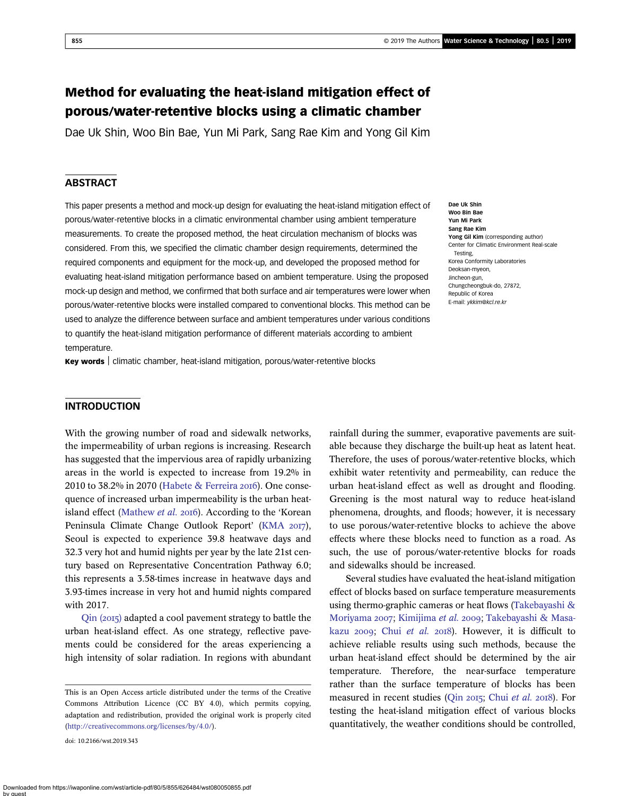## Method for evaluating the heat-island mitigation effect of porous/water-retentive blocks using a climatic chamber

Dae Uk Shin, Woo Bin Bae, Yun Mi Park, Sang Rae Kim and Yong Gil Kim

#### **ABSTRACT**

This paper presents a method and mock-up design for evaluating the heat-island mitigation effect of porous/water-retentive blocks in a climatic environmental chamber using ambient temperature measurements. To create the proposed method, the heat circulation mechanism of blocks was considered. From this, we specified the climatic chamber design requirements, determined the required components and equipment for the mock-up, and developed the proposed method for evaluating heat-island mitigation performance based on ambient temperature. Using the proposed mock-up design and method, we confirmed that both surface and air temperatures were lower when porous/water-retentive blocks were installed compared to conventional blocks. This method can be used to analyze the difference between surface and ambient temperatures under various conditions to quantify the heat-island mitigation performance of different materials according to ambient temperature.

Dae Uk Shin Woo Bin Bae Yun Mi Park Sang Rae Kim Yong Gil Kim (corresponding author) Center for Climatic Environment Real-scale Testing, Korea Conformity Laboratories Deoksan-myeon, Jincheon-gun, Chungcheongbuk-do, 27872, Republic of Korea E-mail: [ykkim@kcl.re.kr](mailto:ykkim@kcl.re.kr)

Key words | climatic chamber, heat-island mitigation, porous/water-retentive blocks

#### INTRODUCTION

With the growing number of road and sidewalk networks, the impermeability of urban regions is increasing. Research has suggested that the impervious area of rapidly urbanizing areas in the world is expected to increase from 19.2% in 2010 to 38.2% in 2070 [\(Habete & Ferreira](#page-8-0) 2016). One consequence of increased urban impermeability is the urban heat-island effect [\(Mathew](#page-8-0) et al. 2016). According to the 'Korean Peninsula Climate Change Outlook Report' [\(KMA](#page-8-0) 2017), Seoul is expected to experience 39.8 heatwave days and 32.3 very hot and humid nights per year by the late 21st century based on Representative Concentration Pathway 6.0; this represents a 3.58-times increase in heatwave days and 3.93-times increase in very hot and humid nights compared with 2017.

 $Q$ in (2015) adapted a cool pavement strategy to battle the urban heat-island effect. As one strategy, reflective pavements could be considered for the areas experiencing a high intensity of solar radiation. In regions with abundant

doi: 10.2166/wst.2019.343

rainfall during the summer, evaporative pavements are suitable because they discharge the built-up heat as latent heat. Therefore, the uses of porous/water-retentive blocks, which exhibit water retentivity and permeability, can reduce the urban heat-island effect as well as drought and flooding. Greening is the most natural way to reduce heat-island phenomena, droughts, and floods; however, it is necessary to use porous/water-retentive blocks to achieve the above effects where these blocks need to function as a road. As such, the use of porous/water-retentive blocks for roads and sidewalks should be increased.

Several studies have evaluated the heat-island mitigation effect of blocks based on surface temperature measurements using thermo-graphic cameras or heat flows [\(Takebayashi &](#page-8-0) [Moriyama](#page-8-0) 2007; [Kimijima](#page-8-0) et al. 2009; [Takebayashi & Masa](#page-8-0)[kazu](#page-8-0)  $2009$ ; Chui [et al.](#page-8-0)  $2018$ ). However, it is difficult to achieve reliable results using such methods, because the urban heat-island effect should be determined by the air temperature. Therefore, the near-surface temperature rather than the surface temperature of blocks has been measured in recent studies (Qin 2015; Chui [et al.](#page-8-0) 2018). For testing the heat-island mitigation effect of various blocks quantitatively, the weather conditions should be controlled,

This is an Open Access article distributed under the terms of the Creative Commons Attribution Licence (CC BY 4.0), which permits copying, adaptation and redistribution, provided the original work is properly cited [\(http://creativecommons.org/licenses/by/4.0/](http://creativecommons.org/licenses/by/4.0/)).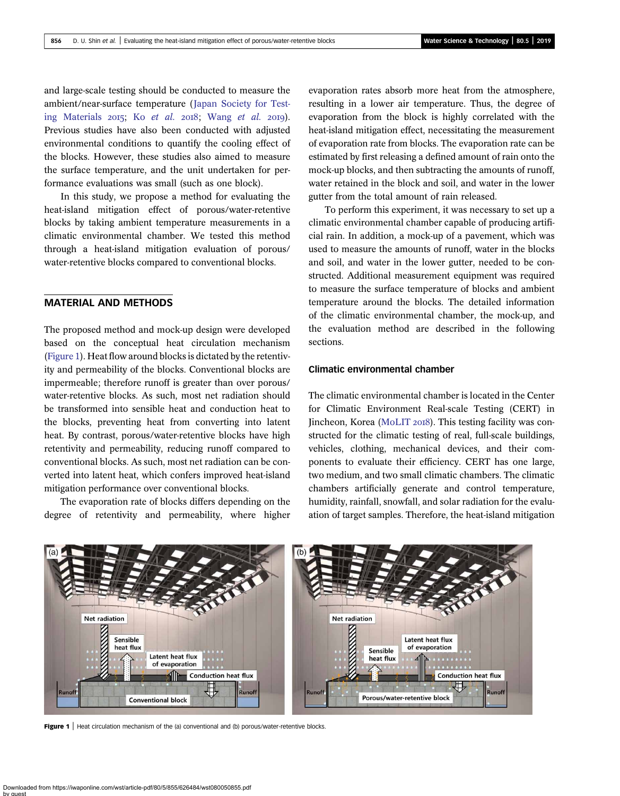and large-scale testing should be conducted to measure the ambient/near-surface temperature ([Japan Society for Test](#page-8-0)[ing Materials](#page-8-0) 2015; Ko [et al.](#page-8-0) 2018; [Wang](#page-9-0) et al. 2019). Previous studies have also been conducted with adjusted environmental conditions to quantify the cooling effect of the blocks. However, these studies also aimed to measure the surface temperature, and the unit undertaken for performance evaluations was small (such as one block).

In this study, we propose a method for evaluating the heat-island mitigation effect of porous/water-retentive blocks by taking ambient temperature measurements in a climatic environmental chamber. We tested this method through a heat-island mitigation evaluation of porous/ water-retentive blocks compared to conventional blocks.

#### MATERIAL AND METHODS

The proposed method and mock-up design were developed based on the conceptual heat circulation mechanism (Figure 1). Heat flow around blocks is dictated by the retentivity and permeability of the blocks. Conventional blocks are impermeable; therefore runoff is greater than over porous/ water-retentive blocks. As such, most net radiation should be transformed into sensible heat and conduction heat to the blocks, preventing heat from converting into latent heat. By contrast, porous/water-retentive blocks have high retentivity and permeability, reducing runoff compared to conventional blocks. As such, most net radiation can be converted into latent heat, which confers improved heat-island mitigation performance over conventional blocks.

The evaporation rate of blocks differs depending on the degree of retentivity and permeability, where higher evaporation rates absorb more heat from the atmosphere, resulting in a lower air temperature. Thus, the degree of evaporation from the block is highly correlated with the heat-island mitigation effect, necessitating the measurement of evaporation rate from blocks. The evaporation rate can be estimated by first releasing a defined amount of rain onto the mock-up blocks, and then subtracting the amounts of runoff, water retained in the block and soil, and water in the lower gutter from the total amount of rain released.

To perform this experiment, it was necessary to set up a climatic environmental chamber capable of producing artificial rain. In addition, a mock-up of a pavement, which was used to measure the amounts of runoff, water in the blocks and soil, and water in the lower gutter, needed to be constructed. Additional measurement equipment was required to measure the surface temperature of blocks and ambient temperature around the blocks. The detailed information of the climatic environmental chamber, the mock-up, and the evaluation method are described in the following sections.

#### Climatic environmental chamber

The climatic environmental chamber is located in the Center for Climatic Environment Real-scale Testing (CERT) in Jincheon, Korea ([MoLIT](#page-8-0) 2018). This testing facility was constructed for the climatic testing of real, full-scale buildings, vehicles, clothing, mechanical devices, and their components to evaluate their efficiency. CERT has one large, two medium, and two small climatic chambers. The climatic chambers artificially generate and control temperature, humidity, rainfall, snowfall, and solar radiation for the evaluation of target samples. Therefore, the heat-island mitigation



Figure 1 | Heat circulation mechanism of the (a) conventional and (b) porous/water-retentive blocks.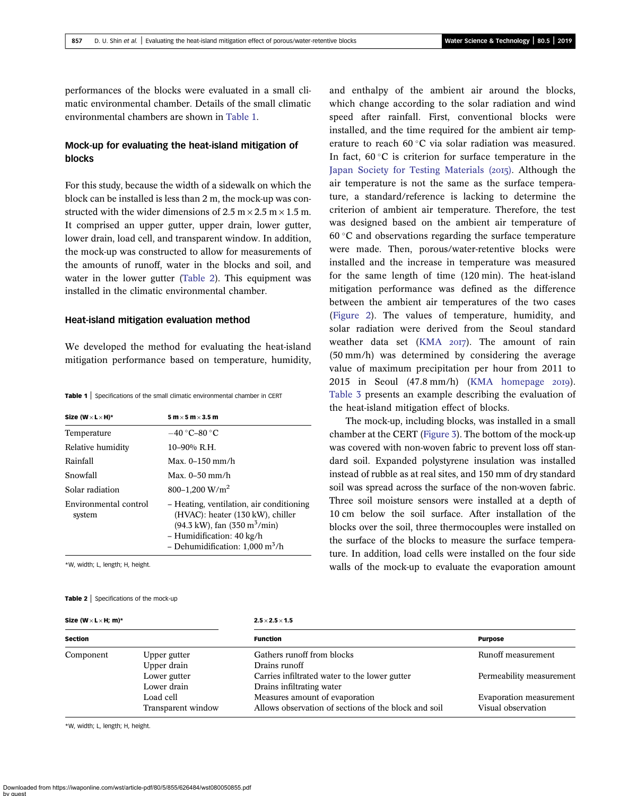performances of the blocks were evaluated in a small climatic environmental chamber. Details of the small climatic environmental chambers are shown in Table 1.

#### Mock-up for evaluating the heat-island mitigation of blocks

For this study, because the width of a sidewalk on which the block can be installed is less than 2 m, the mock-up was constructed with the wider dimensions of 2.5 m  $\times$  2.5 m  $\times$  1.5 m. It comprised an upper gutter, upper drain, lower gutter, lower drain, load cell, and transparent window. In addition, the mock-up was constructed to allow for measurements of the amounts of runoff, water in the blocks and soil, and water in the lower gutter (Table 2). This equipment was installed in the climatic environmental chamber.

#### Heat-island mitigation evaluation method

We developed the method for evaluating the heat-island mitigation performance based on temperature, humidity,

Table 1 | Specifications of the small climatic environmental chamber in CERT

| Size (W $\times$ L $\times$ H)* | $5 \text{ m} \times 5 \text{ m} \times 3.5 \text{ m}$                                                                                                                                                                     |
|---------------------------------|---------------------------------------------------------------------------------------------------------------------------------------------------------------------------------------------------------------------------|
| Temperature                     | $-40\degree$ C-80 $\degree$ C                                                                                                                                                                                             |
| Relative humidity               | $10-90%$ R.H.                                                                                                                                                                                                             |
| Rainfall                        | Max. 0–150 mm/h                                                                                                                                                                                                           |
| Snowfall                        | Max. $0-50$ mm/h                                                                                                                                                                                                          |
| Solar radiation                 | 800-1,200 W/m <sup>2</sup>                                                                                                                                                                                                |
| Environmental control<br>system | - Heating, ventilation, air conditioning<br>(HVAC): heater (130 kW), chiller<br>$(94.3 \text{ kW})$ , fan $(350 \text{ m}^3/\text{min})$<br>- Humidification: 40 kg/h<br>- Dehumidification: $1,000 \text{ m}^3/\text{h}$ |

\*W, width; L, length; H, height.

#### Table 2 | Specifications of the mock-up

```
Size (W \times L \times H; m)* 2.5 \times 2.5 \times 1.5
```
and enthalpy of the ambient air around the blocks, which change according to the solar radiation and wind speed after rainfall. First, conventional blocks were installed, and the time required for the ambient air temperature to reach  $60^{\circ}$ C via solar radiation was measured. In fact,  $60^{\circ}$ C is criterion for surface temperature in the [Japan Society for Testing Materials \(](#page-8-0)2015). Although the air temperature is not the same as the surface temperature, a standard/reference is lacking to determine the criterion of ambient air temperature. Therefore, the test was designed based on the ambient air temperature of  $60^{\circ}$ C and observations regarding the surface temperature were made. Then, porous/water-retentive blocks were installed and the increase in temperature was measured for the same length of time (120 min). The heat-island mitigation performance was defined as the difference between the ambient air temperatures of the two cases [\(Figure 2\)](#page-4-0). The values of temperature, humidity, and solar radiation were derived from the Seoul standard weather data set ([KMA](#page-8-0) 2017). The amount of rain (50 mm/h) was determined by considering the average value of maximum precipitation per hour from 2011 to 2015 in Seoul  $(47.8 \text{ mm/h})$  ([KMA homepage](#page-8-0) 2019). [Table 3](#page-4-0) presents an example describing the evaluation of the heat-island mitigation effect of blocks.

The mock-up, including blocks, was installed in a small chamber at the CERT [\(Figure 3](#page-5-0)). The bottom of the mock-up was covered with non-woven fabric to prevent loss off standard soil. Expanded polystyrene insulation was installed instead of rubble as at real sites, and 150 mm of dry standard soil was spread across the surface of the non-woven fabric. Three soil moisture sensors were installed at a depth of 10 cm below the soil surface. After installation of the blocks over the soil, three thermocouples were installed on the surface of the blocks to measure the surface temperature. In addition, load cells were installed on the four side walls of the mock-up to evaluate the evaporation amount

| <b>Section</b> |                                 | <b>Function</b>                                                                        | <b>Purpose</b>                                |
|----------------|---------------------------------|----------------------------------------------------------------------------------------|-----------------------------------------------|
| Component      | Upper gutter<br>Upper drain     | Gathers runoff from blocks<br>Drains runoff                                            | Runoff measurement                            |
|                | Lower gutter<br>Lower drain     | Carries infiltrated water to the lower gutter<br>Drains infiltrating water             | Permeability measurement                      |
|                | Load cell<br>Transparent window | Measures amount of evaporation<br>Allows observation of sections of the block and soil | Evaporation measurement<br>Visual observation |

\*W, width; L, length; H, height.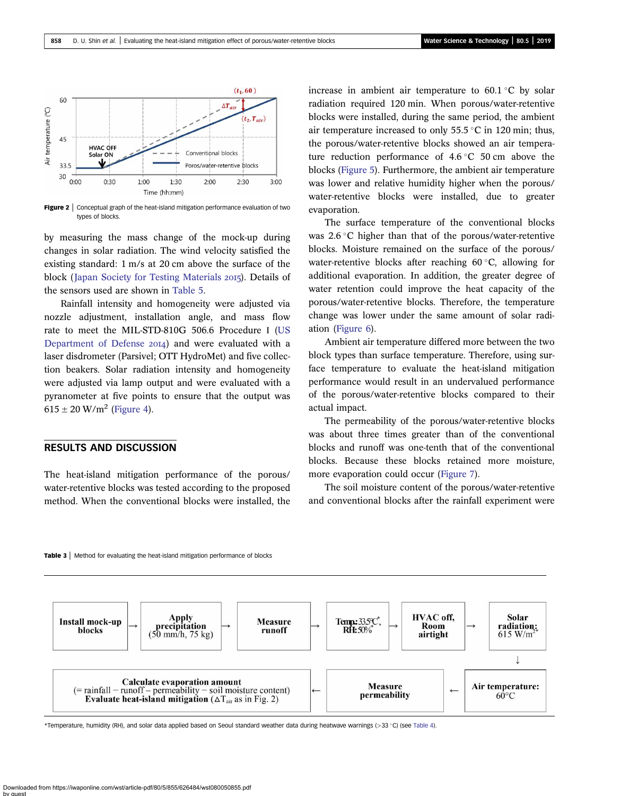<span id="page-4-0"></span>

**Figure 2** | Conceptual graph of the heat-island mitigation performance evaluation of two types of blocks.

by measuring the mass change of the mock-up during changes in solar radiation. The wind velocity satisfied the existing standard: 1 m/s at 20 cm above the surface of the block ([Japan Society for Testing Materials](#page-8-0) 2015). Details of the sensors used are shown in [Table 5](#page-5-0).

Rainfall intensity and homogeneity were adjusted via nozzle adjustment, installation angle, and mass flow rate to meet the MIL-STD-810G 506.6 Procedure І [\(US](#page-9-0) [Department of Defense](#page-9-0) 2014) and were evaluated with a laser disdrometer (Parsivel; OTT HydroMet) and five collection beakers. Solar radiation intensity and homogeneity were adjusted via lamp output and were evaluated with a pyranometer at five points to ensure that the output was  $615 \pm 20$  W/m<sup>2</sup> [\(Figure 4\)](#page-6-0).

#### RESULTS AND DISCUSSION

The heat-island mitigation performance of the porous/ water-retentive blocks was tested according to the proposed method. When the conventional blocks were installed, the increase in ambient air temperature to  $60.1\degree C$  by solar radiation required 120 min. When porous/water-retentive blocks were installed, during the same period, the ambient air temperature increased to only  $55.5^{\circ}$ C in 120 min; thus, the porous/water-retentive blocks showed an air temperature reduction performance of  $4.6\degree$ C 50 cm above the blocks [\(Figure 5](#page-6-0)). Furthermore, the ambient air temperature was lower and relative humidity higher when the porous/ water-retentive blocks were installed, due to greater evaporation.

The surface temperature of the conventional blocks was  $2.6 \degree$ C higher than that of the porous/water-retentive blocks. Moisture remained on the surface of the porous/ water-retentive blocks after reaching  $60^{\circ}$ C, allowing for additional evaporation. In addition, the greater degree of water retention could improve the heat capacity of the porous/water-retentive blocks. Therefore, the temperature change was lower under the same amount of solar radiation ([Figure 6\)](#page-7-0).

Ambient air temperature differed more between the two block types than surface temperature. Therefore, using surface temperature to evaluate the heat-island mitigation performance would result in an undervalued performance of the porous/water-retentive blocks compared to their actual impact.

The permeability of the porous/water-retentive blocks was about three times greater than of the conventional blocks and runoff was one-tenth that of the conventional blocks. Because these blocks retained more moisture, more evaporation could occur [\(Figure 7\)](#page-7-0).

The soil moisture content of the porous/water-retentive and conventional blocks after the rainfall experiment were





\*Temperature, humidity (RH), and solar data applied based on Seoul standard weather data during heatwave warnings (>33 C) (see [Table 4](#page-5-0)).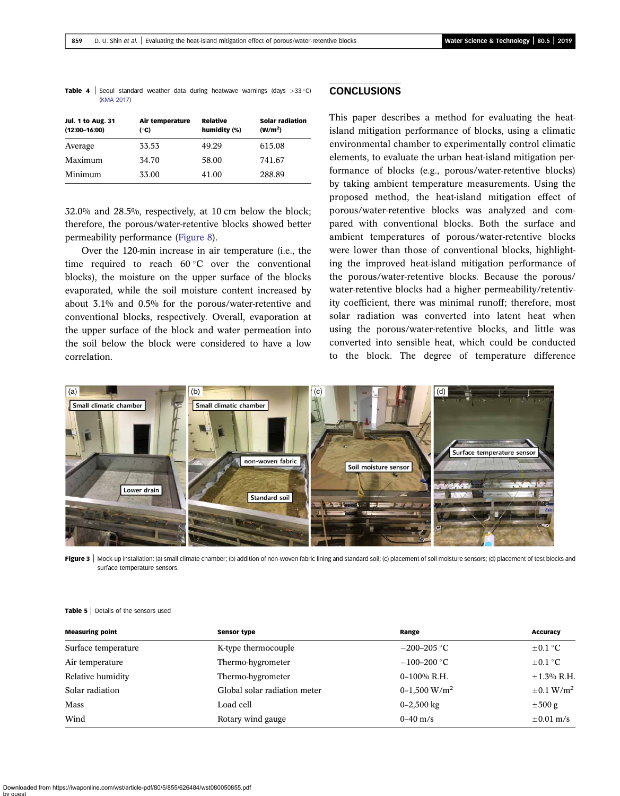<span id="page-5-0"></span>**Table 4** | Seoul standard weather data during heatwave warnings (days  $>33^{\circ}$ C) [\(KMA 2017](#page-8-0))

| <b>Jul. 1 to Aug. 31</b><br>$(12:00 - 16:00)$ | Air temperature<br>(°C) | Relative<br>humidity (%) | <b>Solar radiation</b><br>(W/m <sup>2</sup> ) |
|-----------------------------------------------|-------------------------|--------------------------|-----------------------------------------------|
| Average                                       | 33.53                   | 49.29                    | 615.08                                        |
| Maximum                                       | 34.70                   | 58.00                    | 741.67                                        |
| Minimum                                       | 33.00                   | 41.00                    | 288.89                                        |

32.0% and 28.5%, respectively, at 10 cm below the block; therefore, the porous/water-retentive blocks showed better permeability performance [\(Figure 8\)](#page-8-0).

Over the 120-min increase in air temperature (i.e., the time required to reach  $60^{\circ}$ C over the conventional blocks), the moisture on the upper surface of the blocks evaporated, while the soil moisture content increased by about 3.1% and 0.5% for the porous/water-retentive and conventional blocks, respectively. Overall, evaporation at the upper surface of the block and water permeation into the soil below the block were considered to have a low correlation.

#### **CONCLUSIONS**

This paper describes a method for evaluating the heatisland mitigation performance of blocks, using a climatic environmental chamber to experimentally control climatic elements, to evaluate the urban heat-island mitigation performance of blocks (e.g., porous/water-retentive blocks) by taking ambient temperature measurements. Using the proposed method, the heat-island mitigation effect of porous/water-retentive blocks was analyzed and compared with conventional blocks. Both the surface and ambient temperatures of porous/water-retentive blocks were lower than those of conventional blocks, highlighting the improved heat-island mitigation performance of the porous/water-retentive blocks. Because the porous/ water-retentive blocks had a higher permeability/retentivity coefficient, there was minimal runoff; therefore, most solar radiation was converted into latent heat when using the porous/water-retentive blocks, and little was converted into sensible heat, which could be conducted to the block. The degree of temperature difference



Figure 3 | Mock-up installation: (a) small climate chamber; (b) addition of non-woven fabric lining and standard soil; (c) placement of soil moisture sensors; (d) placement of test blocks and surface temperature sensors.

#### Table 5 | Details of the sensors used

| <b>Measuring point</b> | <b>Sensor type</b>           | Range           | <b>Accuracy</b>            |
|------------------------|------------------------------|-----------------|----------------------------|
| Surface temperature    | K-type thermocouple          | $-200 - 205$ °C | $\pm 0.1$ °C               |
| Air temperature        | Thermo-hygrometer            | $-100-200$ °C   | $\pm 0.1$ °C               |
| Relative humidity      | Thermo-hygrometer            | $0-100\%$ R.H.  | $\pm$ 1.3% R.H.            |
| Solar radiation        | Global solar radiation meter | 0-1,500 $W/m2$  | $\pm 0.1$ W/m <sup>2</sup> |
| Mass                   | Load cell                    | $0 - 2,500$ kg  | $\pm 500$ g                |
| Wind                   | Rotary wind gauge            | $0 - 40$ m/s    | $\pm 0.01$ m/s             |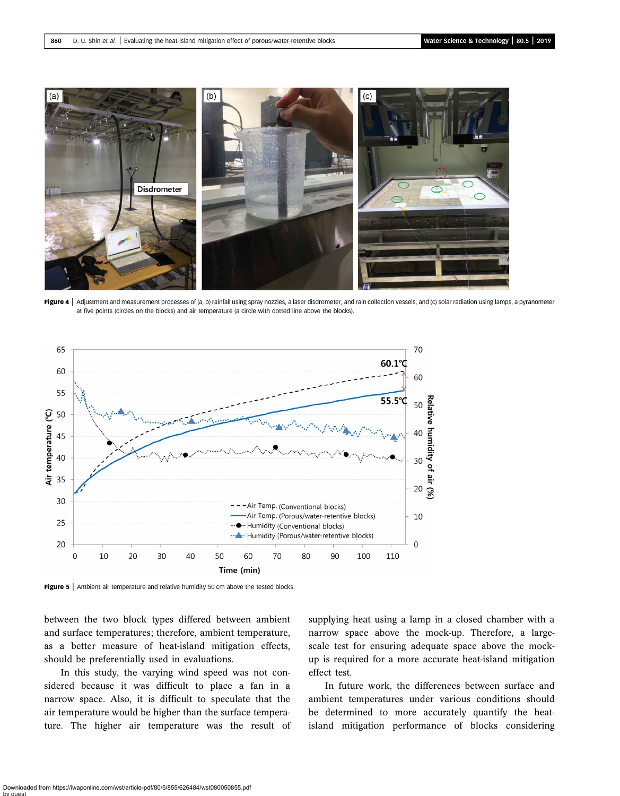<span id="page-6-0"></span>

Figure 4 | Adjustment and measurement processes of (a, b) rainfall using spray nozzles, a laser disdrometer, and rain collection vessels, and (c) solar radiation using lamps, a pyranometer at five points (circles on the blocks) and air temperature (a circle with dotted line above the blocks).



Figure 5 | Ambient air temperature and relative humidity 50 cm above the tested blocks.

between the two block types differed between ambient and surface temperatures; therefore, ambient temperature, as a better measure of heat-island mitigation effects, should be preferentially used in evaluations.

In this study, the varying wind speed was not considered because it was difficult to place a fan in a narrow space. Also, it is difficult to speculate that the air temperature would be higher than the surface temperature. The higher air temperature was the result of supplying heat using a lamp in a closed chamber with a narrow space above the mock-up. Therefore, a largescale test for ensuring adequate space above the mockup is required for a more accurate heat-island mitigation effect test.

In future work, the differences between surface and ambient temperatures under various conditions should be determined to more accurately quantify the heatisland mitigation performance of blocks considering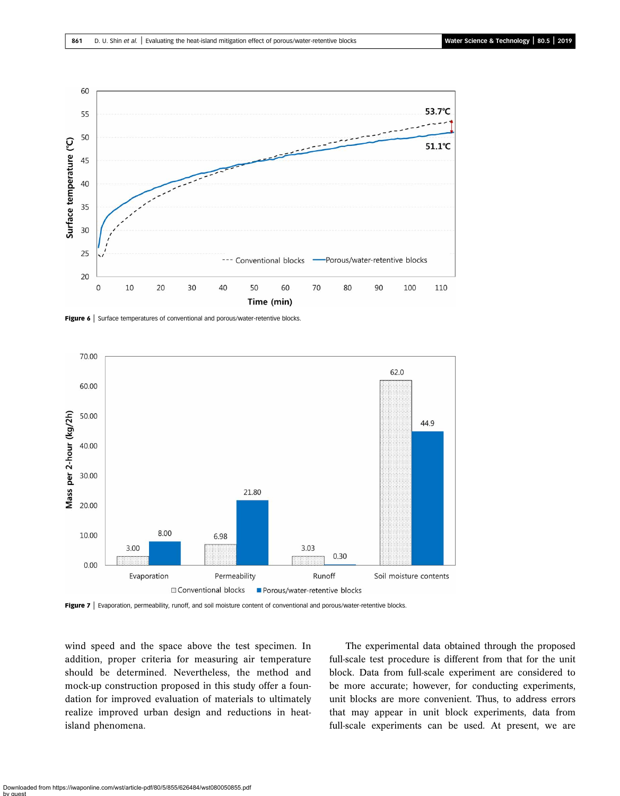<span id="page-7-0"></span>

Figure 6 | Surface temperatures of conventional and porous/water-retentive blocks.



Figure 7 | Evaporation, permeability, runoff, and soil moisture content of conventional and porous/water-retentive blocks.

wind speed and the space above the test specimen. In addition, proper criteria for measuring air temperature should be determined. Nevertheless, the method and mock-up construction proposed in this study offer a foundation for improved evaluation of materials to ultimately realize improved urban design and reductions in heatisland phenomena.

The experimental data obtained through the proposed full-scale test procedure is different from that for the unit block. Data from full-scale experiment are considered to be more accurate; however, for conducting experiments, unit blocks are more convenient. Thus, to address errors that may appear in unit block experiments, data from full-scale experiments can be used. At present, we are

Downloaded from https://iwaponline.com/wst/article-pdf/80/5/855/626484/wst080050855.pdf by guest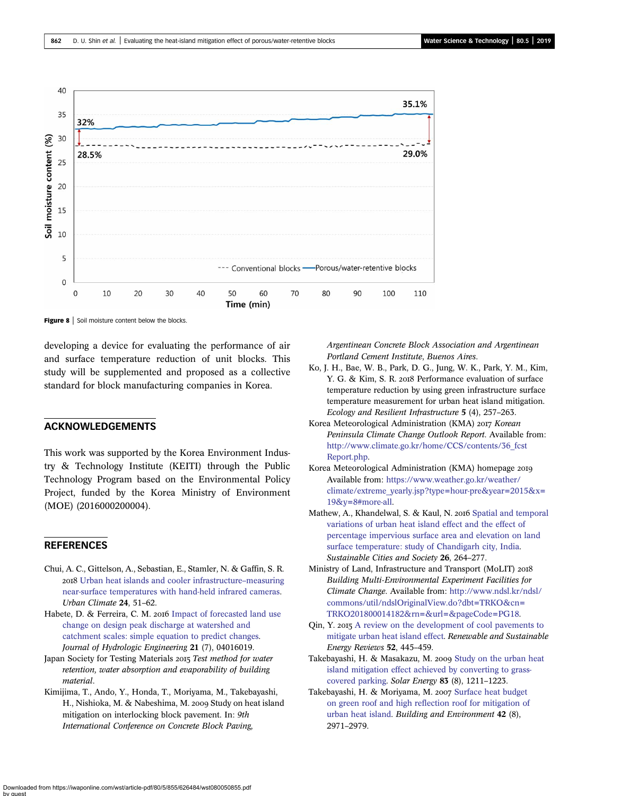<span id="page-8-0"></span>

Figure 8 | Soil moisture content below the blocks.

developing a device for evaluating the performance of air and surface temperature reduction of unit blocks. This study will be supplemented and proposed as a collective standard for block manufacturing companies in Korea.

#### ACKNOWLEDGEMENTS

This work was supported by the Korea Environment Industry & Technology Institute (KEITI) through the Public Technology Program based on the Environmental Policy Project, funded by the Korea Ministry of Environment (MOE) (2016000200004).

#### **REFERENCES**

- Chui, A. C., Gittelson, A., Sebastian, E., Stamler, N. & Gaffin, S. R. [Urban heat islands and cooler infrastructure](http://dx.doi.org/10.1016/j.uclim.2017.12.009)–measuring [near-surface temperatures with hand-held infrared cameras](http://dx.doi.org/10.1016/j.uclim.2017.12.009). Urban Climate 24, 51–62.
- Habete, D. & Ferreira, C. M. 2016 [Impact of forecasted land use](http://dx.doi.org/10.1061/(ASCE)HE.1943-5584.0001384) [change on design peak discharge at watershed and](http://dx.doi.org/10.1061/(ASCE)HE.1943-5584.0001384) [catchment scales: simple equation to predict changes](http://dx.doi.org/10.1061/(ASCE)HE.1943-5584.0001384). Journal of Hydrologic Engineering 21 (7), 04016019.
- Japan Society for Testing Materials 2015 Test method for water retention, water absorption and evaporability of building material.
- Kimijima, T., Ando, Y., Honda, T., Moriyama, M., Takebayashi, H., Nishioka, M. & Nabeshima, M. 2009 Study on heat island mitigation on interlocking block pavement. In: 9th International Conference on Concrete Block Paving,

Argentinean Concrete Block Association and Argentinean Portland Cement Institute, Buenos Aires.

- Ko, J. H., Bae, W. B., Park, D. G., Jung, W. K., Park, Y. M., Kim, Y. G. & Kim, S. R. 2018 Performance evaluation of surface temperature reduction by using green infrastructure surface temperature measurement for urban heat island mitigation. Ecology and Resilient Infrastructure 5 (4), 257–263.
- Korea Meteorological Administration (KMA) 2017 Korean Peninsula Climate Change Outlook Report. Available from: [http://www.climate.go.kr/home/CCS/contents/36\\_fcst](http://www.climate.go.kr/home/CCS/contents/36_fcstReport.php) [Report.php.](http://www.climate.go.kr/home/CCS/contents/36_fcstReport.php)
- Korea Meteorological Administration (KMA) homepage Available from: [https://www.weather.go.kr/weather/](https://www.weather.go.kr/weather/climate/extreme_yearly.jsp?type=hour-pre&year=2015&x=19&y=8#more-all) [climate/extreme\\_yearly.jsp?type=hour-pre&year=2015&x=](https://www.weather.go.kr/weather/climate/extreme_yearly.jsp?type=hour-pre&year=2015&x=19&y=8#more-all) [19&y=8#more-all.](https://www.weather.go.kr/weather/climate/extreme_yearly.jsp?type=hour-pre&year=2015&x=19&y=8#more-all)
- Mathew, A., Khandelwal, S. & Kaul, N. 2016 [Spatial and temporal](http://dx.doi.org/10.1016/j.scs.2016.06.018) [variations of urban heat island effect and the effect of](http://dx.doi.org/10.1016/j.scs.2016.06.018) [percentage impervious surface area and elevation on land](http://dx.doi.org/10.1016/j.scs.2016.06.018) [surface temperature: study of Chandigarh city, India.](http://dx.doi.org/10.1016/j.scs.2016.06.018) Sustainable Cities and Society 26, 264–277.
- Ministry of Land, Infrastructure and Transport (MoLIT) Building Multi-Environmental Experiment Facilities for Climate Change. Available from: [http://www.ndsl.kr/ndsl/](http://www.ndsl.kr/ndsl/commons/util/ndslOriginalView.do?dbt=TRKO&cn=TRKO201800014182&rn=&url=&pageCode=PG18) [commons/util/ndslOriginalView.do?dbt=TRKO&cn=](http://www.ndsl.kr/ndsl/commons/util/ndslOriginalView.do?dbt=TRKO&cn=TRKO201800014182&rn=&url=&pageCode=PG18) [TRKO201800014182&rn=&url=&pageCode=PG18](http://www.ndsl.kr/ndsl/commons/util/ndslOriginalView.do?dbt=TRKO&cn=TRKO201800014182&rn=&url=&pageCode=PG18).
- Qin, Y. 2015 [A review on the development of cool pavements to](http://dx.doi.org/10.1016/j.rser.2015.07.177) [mitigate urban heat island effect](http://dx.doi.org/10.1016/j.rser.2015.07.177). Renewable and Sustainable Energy Reviews 52, 445–459.
- Takebayashi, H. & Masakazu, M. 2009 [Study on the urban heat](http://dx.doi.org/10.1016/j.solener.2009.01.019) [island mitigation effect achieved by converting to grass](http://dx.doi.org/10.1016/j.solener.2009.01.019)[covered parking.](http://dx.doi.org/10.1016/j.solener.2009.01.019) Solar Energy 83 (8), 1211–1223.
- Takebayashi, H. & Moriyama, M. 2007 [Surface heat budget](http://dx.doi.org/10.1016/j.buildenv.2006.06.017) [on green roof and high reflection roof for mitigation of](http://dx.doi.org/10.1016/j.buildenv.2006.06.017) [urban heat island.](http://dx.doi.org/10.1016/j.buildenv.2006.06.017) Building and Environment 42 (8), 2971–2979.